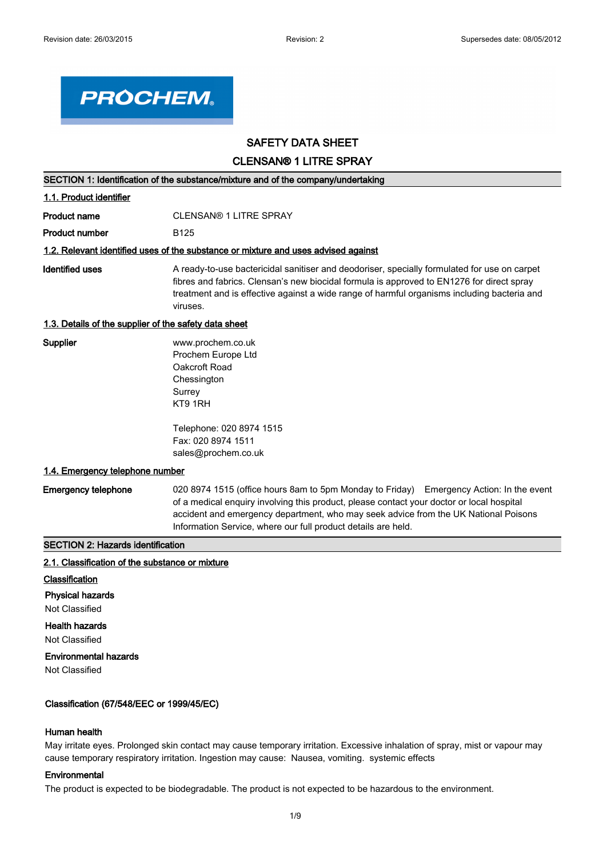

# **SAFETY DATA SHEET**

**CLENSAN® 1 LITRE SPRAY**

| SECTION 1: Identification of the substance/mixture and of the company/undertaking  |                                                                                                                                                                                                                                                                                                                                              |  |
|------------------------------------------------------------------------------------|----------------------------------------------------------------------------------------------------------------------------------------------------------------------------------------------------------------------------------------------------------------------------------------------------------------------------------------------|--|
| 1.1. Product identifier                                                            |                                                                                                                                                                                                                                                                                                                                              |  |
| <b>Product name</b>                                                                | <b>CLENSAN® 1 LITRE SPRAY</b>                                                                                                                                                                                                                                                                                                                |  |
| <b>Product number</b>                                                              | B <sub>125</sub>                                                                                                                                                                                                                                                                                                                             |  |
| 1.2. Relevant identified uses of the substance or mixture and uses advised against |                                                                                                                                                                                                                                                                                                                                              |  |
| <b>Identified uses</b>                                                             | A ready-to-use bactericidal sanitiser and deodoriser, specially formulated for use on carpet<br>fibres and fabrics. Clensan's new biocidal formula is approved to EN1276 for direct spray<br>treatment and is effective against a wide range of harmful organisms including bacteria and<br>viruses.                                         |  |
| 1.3. Details of the supplier of the safety data sheet                              |                                                                                                                                                                                                                                                                                                                                              |  |
| <b>Supplier</b>                                                                    | www.prochem.co.uk<br>Prochem Europe Ltd<br>Oakcroft Road<br>Chessington<br>Surrey<br>KT9 1RH                                                                                                                                                                                                                                                 |  |
|                                                                                    | Telephone: 020 8974 1515<br>Fax: 020 8974 1511<br>sales@prochem.co.uk                                                                                                                                                                                                                                                                        |  |
| 1.4. Emergency telephone number                                                    |                                                                                                                                                                                                                                                                                                                                              |  |
| <b>Emergency telephone</b>                                                         | 020 8974 1515 (office hours 8am to 5pm Monday to Friday) Emergency Action: In the event<br>of a medical enquiry involving this product, please contact your doctor or local hospital<br>accident and emergency department, who may seek advice from the UK National Poisons<br>Information Service, where our full product details are held. |  |

# **SECTION 2: Hazards identification**

#### **2.1. Classification of the substance or mixture**

- **Classification**
- **Physical hazards**

Not Classified

# **Health hazards**

Not Classified

# **Environmental hazards**

Not Classified

# **Classification (67/548/EEC or 1999/45/EC)**

# **Human health**

May irritate eyes. Prolonged skin contact may cause temporary irritation. Excessive inhalation of spray, mist or vapour may cause temporary respiratory irritation. Ingestion may cause: Nausea, vomiting. systemic effects

# **Environmental**

The product is expected to be biodegradable. The product is not expected to be hazardous to the environment.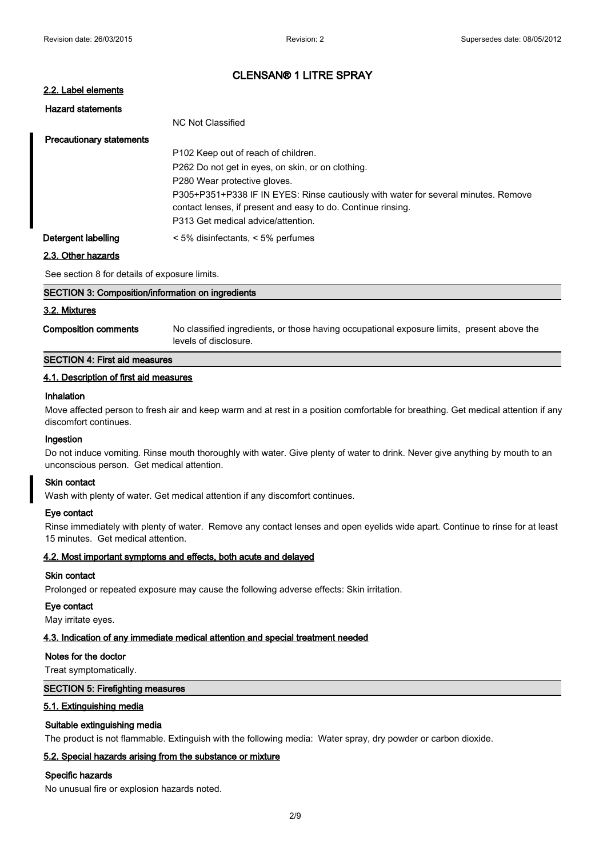# **2.2. Label elements**

| <b>Hazard statements</b>        |                                                                                    |
|---------------------------------|------------------------------------------------------------------------------------|
|                                 | NC Not Classified                                                                  |
| <b>Precautionary statements</b> |                                                                                    |
|                                 | P <sub>102</sub> Keep out of reach of children.                                    |
|                                 | P262 Do not get in eyes, on skin, or on clothing.                                  |
|                                 | P280 Wear protective gloves.                                                       |
|                                 | P305+P351+P338 IF IN EYES: Rinse cautiously with water for several minutes. Remove |
|                                 | contact lenses, if present and easy to do. Continue rinsing.                       |
|                                 | P313 Get medical advice/attention.                                                 |
| Detergent labelling             | $<$ 5% disinfectants, $<$ 5% perfumes                                              |

#### **2.3. Other hazards**

See section 8 for details of exposure limits.

| SECTION 3: Composition/information on ingredients |                                                                                                                     |  |
|---------------------------------------------------|---------------------------------------------------------------------------------------------------------------------|--|
| 3.2. Mixtures                                     |                                                                                                                     |  |
| <b>Composition comments</b>                       | No classified ingredients, or those having occupational exposure limits, present above the<br>levels of disclosure. |  |

# **SECTION 4: First aid measures**

#### **4.1. Description of first aid measures**

# **Inhalation**

Move affected person to fresh air and keep warm and at rest in a position comfortable for breathing. Get medical attention if any discomfort continues.

#### **Ingestion**

Do not induce vomiting. Rinse mouth thoroughly with water. Give plenty of water to drink. Never give anything by mouth to an unconscious person. Get medical attention.

#### **Skin contact**

Wash with plenty of water. Get medical attention if any discomfort continues.

#### **Eye contact**

Rinse immediately with plenty of water. Remove any contact lenses and open eyelids wide apart. Continue to rinse for at least 15 minutes. Get medical attention.

#### **4.2. Most important symptoms and effects, both acute and delayed**

#### **Skin contact**

Prolonged or repeated exposure may cause the following adverse effects: Skin irritation.

#### **Eye contact**

May irritate eyes.

#### **4.3. Indication of any immediate medical attention and special treatment needed**

#### **Notes for the doctor**

Treat symptomatically.

## **SECTION 5: Firefighting measures**

#### **5.1. Extinguishing media**

#### **Suitable extinguishing media**

The product is not flammable. Extinguish with the following media: Water spray, dry powder or carbon dioxide.

# **5.2. Special hazards arising from the substance or mixture**

#### **Specific hazards**

No unusual fire or explosion hazards noted.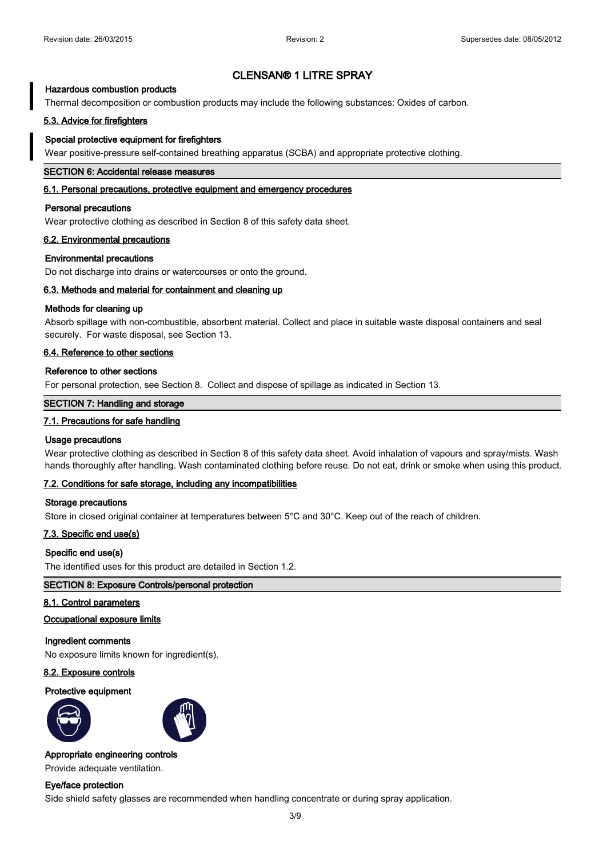## **Hazardous combustion products**

Thermal decomposition or combustion products may include the following substances: Oxides of carbon.

## **5.3. Advice for firefighters**

#### **Special protective equipment for firefighters**

Wear positive-pressure self-contained breathing apparatus (SCBA) and appropriate protective clothing.

#### **SECTION 6: Accidental release measures**

#### **6.1. Personal precautions, protective equipment and emergency procedures**

#### **Personal precautions**

Wear protective clothing as described in Section 8 of this safety data sheet.

#### **6.2. Environmental precautions**

#### **Environmental precautions**

Do not discharge into drains or watercourses or onto the ground.

## **6.3. Methods and material for containment and cleaning up**

#### **Methods for cleaning up**

Absorb spillage with non-combustible, absorbent material. Collect and place in suitable waste disposal containers and seal securely. For waste disposal, see Section 13.

## **6.4. Reference to other sections**

#### **Reference to other sections**

For personal protection, see Section 8. Collect and dispose of spillage as indicated in Section 13.

#### **SECTION 7: Handling and storage**

#### **7.1. Precautions for safe handling**

#### **Usage precautions**

Wear protective clothing as described in Section 8 of this safety data sheet. Avoid inhalation of vapours and spray/mists. Wash hands thoroughly after handling. Wash contaminated clothing before reuse. Do not eat, drink or smoke when using this product.

#### **7.2. Conditions for safe storage, including any incompatibilities**

#### **Storage precautions**

Store in closed original container at temperatures between 5°C and 30°C. Keep out of the reach of children.

## **7.3. Specific end use(s)**

#### **Specific end use(s)**

The identified uses for this product are detailed in Section 1.2.

#### **SECTION 8: Exposure Controls/personal protection**

#### **8.1. Control parameters**

#### **Occupational exposure limits**

#### **Ingredient comments**

No exposure limits known for ingredient(s).

#### **8.2. Exposure controls**

#### **Protective equipment**





# **Appropriate engineering controls**

Provide adequate ventilation.

## **Eye/face protection**

Side shield safety glasses are recommended when handling concentrate or during spray application.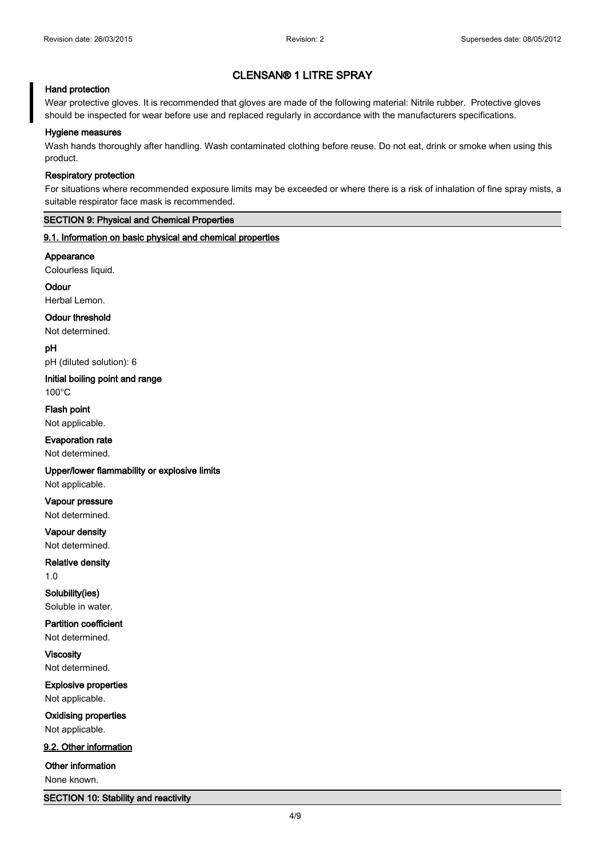## **Hand protection**

Wear protective gloves. It is recommended that gloves are made of the following material: Nitrile rubber. Protective gloves should be inspected for wear before use and replaced regularly in accordance with the manufacturers specifications.

#### **Hygiene measures**

Wash hands thoroughly after handling. Wash contaminated clothing before reuse. Do not eat, drink or smoke when using this product.

#### **Respiratory protection**

For situations where recommended exposure limits may be exceeded or where there is a risk of inhalation of fine spray mists, a suitable respirator face mask is recommended.

# **SECTION 9: Physical and Chemical Properties**

## **9.1. Information on basic physical and chemical properties**

**Appearance**

Colourless liquid.

**Odour**

Herbal Lemon.

## **Odour threshold**

Not determined.

**pH**

pH (diluted solution): 6

**Initial boiling point and range** 100°C

**Flash point**

Not applicable.

**Evaporation rate**

Not determined.

**Upper/lower flammability or explosive limits**

Not applicable.

**Vapour pressure**

Not determined.

**Vapour density** Not determined.

**Relative density**

1.0

**Solubility(ies)** Soluble in water.

**Partition coefficient** Not determined.

**Viscosity** Not determined.

**Explosive properties** Not applicable.

**Oxidising properties** Not applicable.

**9.2. Other information**

**Other information**

None known.

**SECTION 10: Stability and reactivity**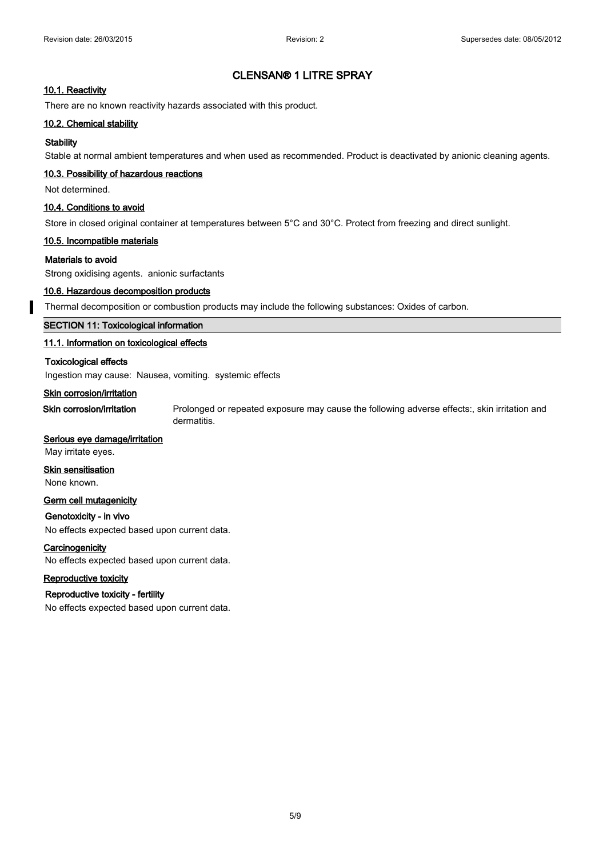## **10.1. Reactivity**

There are no known reactivity hazards associated with this product.

#### **10.2. Chemical stability**

## **Stability**

Stable at normal ambient temperatures and when used as recommended. Product is deactivated by anionic cleaning agents.

#### **10.3. Possibility of hazardous reactions**

Not determined.

## **10.4. Conditions to avoid**

Store in closed original container at temperatures between 5°C and 30°C. Protect from freezing and direct sunlight.

#### **10.5. Incompatible materials**

## **Materials to avoid**

Strong oxidising agents. anionic surfactants

## **10.6. Hazardous decomposition products**

Thermal decomposition or combustion products may include the following substances: Oxides of carbon.

## **SECTION 11: Toxicological information**

## **11.1. Information on toxicological effects**

#### **Toxicological effects**

Ingestion may cause: Nausea, vomiting. systemic effects

## **Skin corrosion/irritation**

**Skin corrosion/irritation** Prolonged or repeated exposure may cause the following adverse effects:, skin irritation and dermatitis.

## **Serious eye damage/irritation**

May irritate eyes.

# **Skin sensitisation**

None known.

# **Germ cell mutagenicity**

#### **Genotoxicity - in vivo**

No effects expected based upon current data.

#### **Carcinogenicity**

No effects expected based upon current data.

# **Reproductive toxicity**

# **Reproductive toxicity - fertility**

No effects expected based upon current data.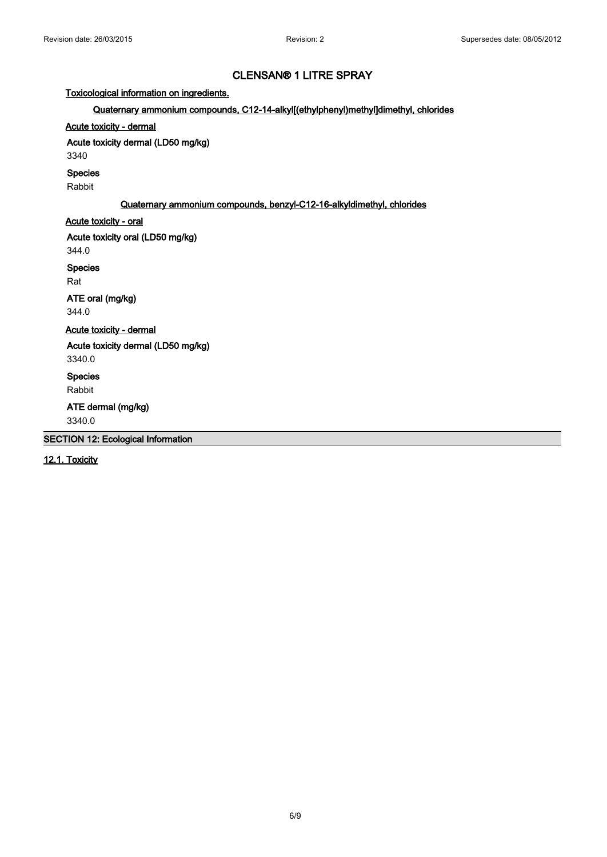**Toxicological information on ingredients.**

# **Quaternary ammonium compounds, C12-14-alkyl[(ethylphenyl)methyl]dimethyl, chlorides**

# **Acute toxicity - dermal**

**Acute toxicity dermal (LD50 mg/kg)**

3340

#### **Species**

Rabbit

# **Quaternary ammonium compounds, benzyl-C12-16-alkyldimethyl, chlorides**

# **Acute toxicity - oral**

**Acute toxicity oral (LD50 mg/kg)**

344.0

**Species**

Rat

**ATE oral (mg/kg)**

344.0

**Acute toxicity - dermal**

**Acute toxicity dermal (LD50 mg/kg)**

3340.0

**Species**

Rabbit

**ATE dermal (mg/kg)**

3340.0

**SECTION 12: Ecological Information**

**12.1. Toxicity**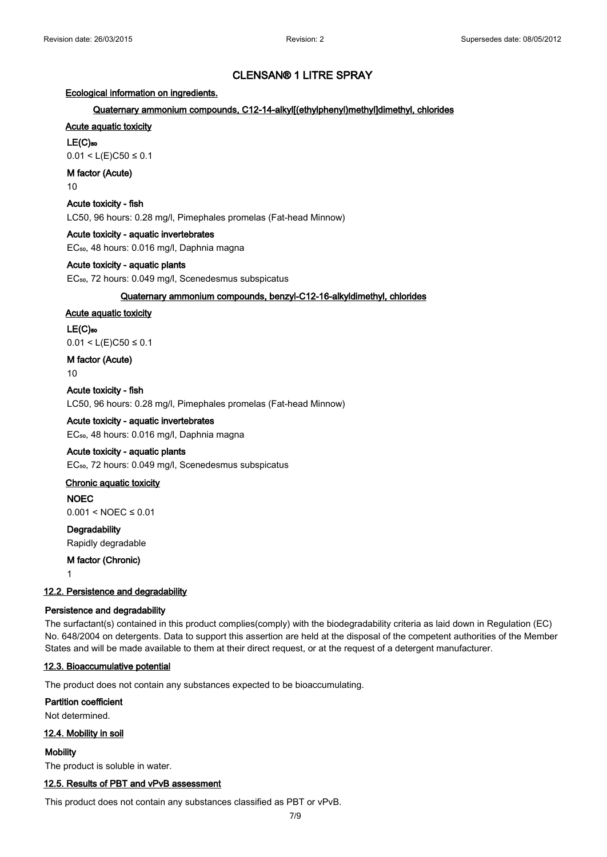## **Ecological information on ingredients.**

#### **Quaternary ammonium compounds, C12-14-alkyl[(ethylphenyl)methyl]dimethyl, chlorides**

# **Acute aquatic toxicity**

# **LE(C)₅₀**

0.01 < L(E)C50 ≤ 0.1

# **M factor (Acute)**

10

#### **Acute toxicity - fish**

LC50, 96 hours: 0.28 mg/l, Pimephales promelas (Fat-head Minnow)

#### **Acute toxicity - aquatic invertebrates**

EC<sub>50</sub>, 48 hours: 0.016 mg/l, Daphnia magna

#### **Acute toxicity - aquatic plants**

EC<sub>50</sub>, 72 hours: 0.049 mg/l, Scenedesmus subspicatus

#### **Quaternary ammonium compounds, benzyl-C12-16-alkyldimethyl, chlorides**

## **Acute aquatic toxicity**

# **LE(C)₅₀**

0.01 < L(E)C50 ≤ 0.1

# **M factor (Acute)**

10

# **Acute toxicity - fish**

LC50, 96 hours: 0.28 mg/l, Pimephales promelas (Fat-head Minnow)

# **Acute toxicity - aquatic invertebrates**

EC₅₀, 48 hours: 0.016 mg/l, Daphnia magna

## **Acute toxicity - aquatic plants**

EC<sub>50</sub>, 72 hours: 0.049 mg/l, Scenedesmus subspicatus

# **Chronic aquatic toxicity**

**NOEC**

# 0.001 < NOEC ≤ 0.01

**Degradability** Rapidly degradable

**M factor (Chronic)**

1

#### **12.2. Persistence and degradability**

#### **Persistence and degradability**

The surfactant(s) contained in this product complies(comply) with the biodegradability criteria as laid down in Regulation (EC) No. 648/2004 on detergents. Data to support this assertion are held at the disposal of the competent authorities of the Member States and will be made available to them at their direct request, or at the request of a detergent manufacturer.

# **12.3. Bioaccumulative potential**

The product does not contain any substances expected to be bioaccumulating.

# **Partition coefficient**

Not determined.

#### **12.4. Mobility in soil**

**Mobility** The product is soluble in water.

#### **12.5. Results of PBT and vPvB assessment**

This product does not contain any substances classified as PBT or vPvB.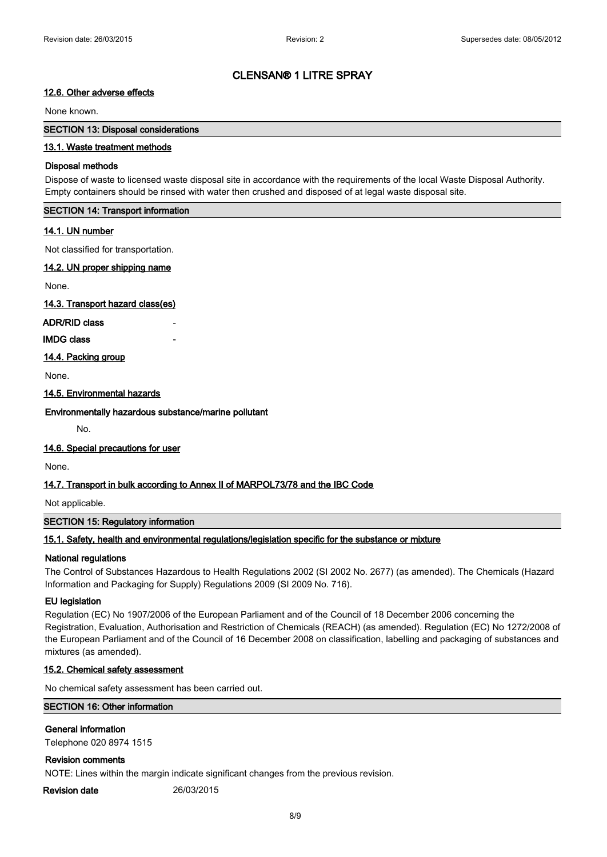# **12.6. Other adverse effects**

## None known.

## **SECTION 13: Disposal considerations**

# **13.1. Waste treatment methods**

## **Disposal methods**

Dispose of waste to licensed waste disposal site in accordance with the requirements of the local Waste Disposal Authority. Empty containers should be rinsed with water then crushed and disposed of at legal waste disposal site.

# **SECTION 14: Transport information**

# **14.1. UN number**

Not classified for transportation.

## **14.2. UN proper shipping name**

None.

**14.3. Transport hazard class(es)**

## **ADR/RID class**

**IMDG class** 

# **14.4. Packing group**

None.

## **14.5. Environmental hazards**

**Environmentally hazardous substance/marine pollutant**

No.

# **14.6. Special precautions for user**

None.

# **14.7. Transport in bulk according to Annex II of MARPOL73/78 and the IBC Code**

Not applicable.

# **SECTION 15: Regulatory information**

# **15.1. Safety, health and environmental regulations/legislation specific for the substance or mixture**

# **National regulations**

The Control of Substances Hazardous to Health Regulations 2002 (SI 2002 No. 2677) (as amended). The Chemicals (Hazard Information and Packaging for Supply) Regulations 2009 (SI 2009 No. 716).

# **EU legislation**

Regulation (EC) No 1907/2006 of the European Parliament and of the Council of 18 December 2006 concerning the Registration, Evaluation, Authorisation and Restriction of Chemicals (REACH) (as amended). Regulation (EC) No 1272/2008 of the European Parliament and of the Council of 16 December 2008 on classification, labelling and packaging of substances and mixtures (as amended).

# **15.2. Chemical safety assessment**

No chemical safety assessment has been carried out.

# **SECTION 16: Other information**

# **General information**

Telephone 020 8974 1515

# **Revision comments**

NOTE: Lines within the margin indicate significant changes from the previous revision.

**Revision date** 26/03/2015